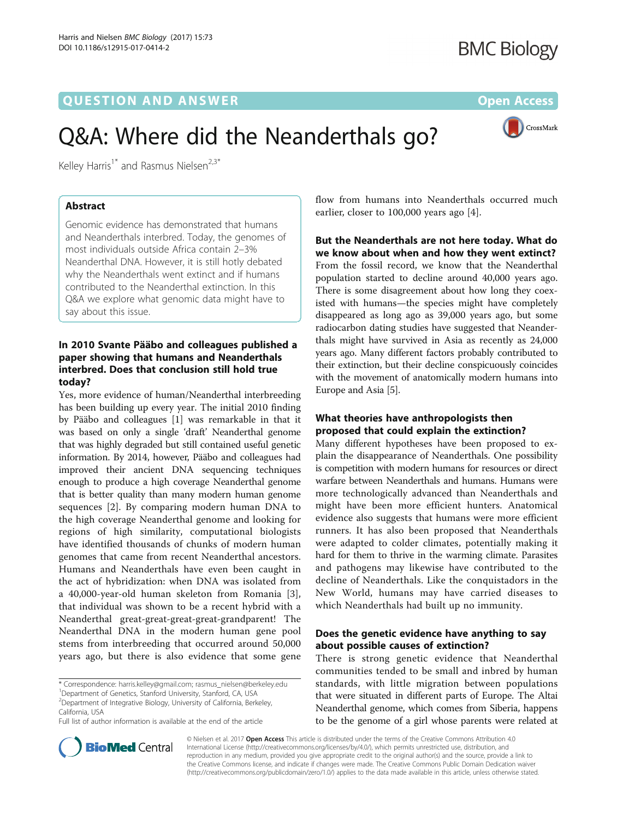## **QUESTION AND ANSWER CONSUMER Open Access**

CrossMark

# Q&A: Where did the Neanderthals go?

Kelley Harris<sup>1\*</sup> and Rasmus Nielsen<sup>2,3\*</sup>

## Abstract

Genomic evidence has demonstrated that humans and Neanderthals interbred. Today, the genomes of most individuals outside Africa contain 2–3% Neanderthal DNA. However, it is still hotly debated why the Neanderthals went extinct and if humans contributed to the Neanderthal extinction. In this Q&A we explore what genomic data might have to say about this issue.

## In 2010 Svante Pääbo and colleagues published a paper showing that humans and Neanderthals interbred. Does that conclusion still hold true today?

Yes, more evidence of human/Neanderthal interbreeding has been building up every year. The initial 2010 finding by Pääbo and colleagues [[1\]](#page-2-0) was remarkable in that it was based on only a single 'draft' Neanderthal genome that was highly degraded but still contained useful genetic information. By 2014, however, Pääbo and colleagues had improved their ancient DNA sequencing techniques enough to produce a high coverage Neanderthal genome that is better quality than many modern human genome sequences [\[2](#page-2-0)]. By comparing modern human DNA to the high coverage Neanderthal genome and looking for regions of high similarity, computational biologists have identified thousands of chunks of modern human genomes that came from recent Neanderthal ancestors. Humans and Neanderthals have even been caught in the act of hybridization: when DNA was isolated from a 40,000-year-old human skeleton from Romania [[3](#page-2-0)], that individual was shown to be a recent hybrid with a Neanderthal great-great-great-great-grandparent! The Neanderthal DNA in the modern human gene pool stems from interbreeding that occurred around 50,000 years ago, but there is also evidence that some gene

\* Correspondence: [harris.kelley@gmail.com](mailto:harris.kelley@gmail.com); [rasmus\\_nielsen@berkeley.edu](mailto:rasmus_nielsen@berkeley.edu) <sup>1</sup>

<sup>1</sup>Department of Genetics, Stanford University, Stanford, CA, USA <sup>2</sup> Department of Integrative Biology, University of California, Berkeley,

California, USA

Full list of author information is available at the end of the article



But the Neanderthals are not here today. What do we know about when and how they went extinct? From the fossil record, we know that the Neanderthal population started to decline around 40,000 years ago. There is some disagreement about how long they coexisted with humans—the species might have completely disappeared as long ago as 39,000 years ago, but some radiocarbon dating studies have suggested that Neanderthals might have survived in Asia as recently as 24,000 years ago. Many different factors probably contributed to their extinction, but their decline conspicuously coincides with the movement of anatomically modern humans into Europe and Asia [\[5](#page-2-0)].

## What theories have anthropologists then proposed that could explain the extinction?

Many different hypotheses have been proposed to explain the disappearance of Neanderthals. One possibility is competition with modern humans for resources or direct warfare between Neanderthals and humans. Humans were more technologically advanced than Neanderthals and might have been more efficient hunters. Anatomical evidence also suggests that humans were more efficient runners. It has also been proposed that Neanderthals were adapted to colder climates, potentially making it hard for them to thrive in the warming climate. Parasites and pathogens may likewise have contributed to the decline of Neanderthals. Like the conquistadors in the New World, humans may have carried diseases to which Neanderthals had built up no immunity.

## Does the genetic evidence have anything to say about possible causes of extinction?

There is strong genetic evidence that Neanderthal communities tended to be small and inbred by human standards, with little migration between populations that were situated in different parts of Europe. The Altai Neanderthal genome, which comes from Siberia, happens to be the genome of a girl whose parents were related at



© Nielsen et al. 2017 Open Access This article is distributed under the terms of the Creative Commons Attribution 4.0 International License [\(http://creativecommons.org/licenses/by/4.0/](http://creativecommons.org/licenses/by/4.0/)), which permits unrestricted use, distribution, and reproduction in any medium, provided you give appropriate credit to the original author(s) and the source, provide a link to the Creative Commons license, and indicate if changes were made. The Creative Commons Public Domain Dedication waiver [\(http://creativecommons.org/publicdomain/zero/1.0/](http://creativecommons.org/publicdomain/zero/1.0/)) applies to the data made available in this article, unless otherwise stated.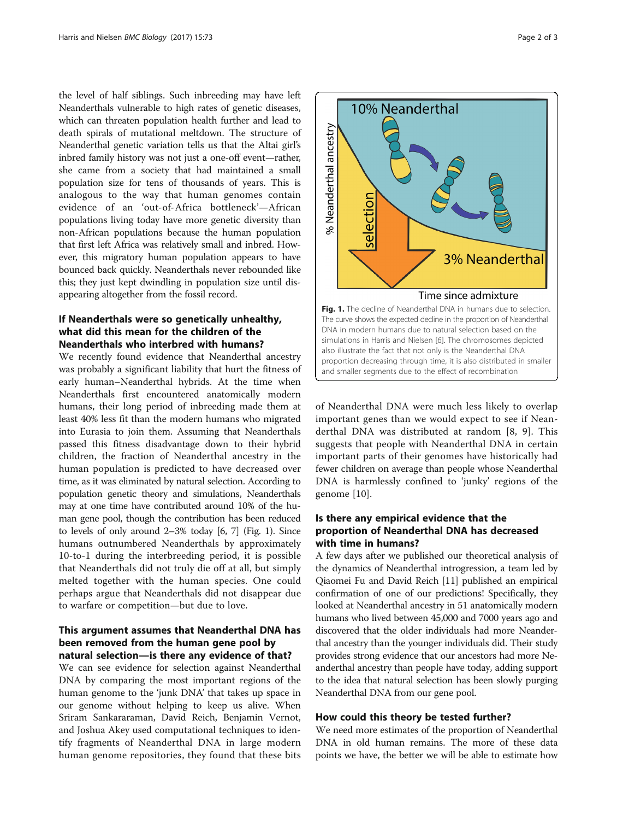the level of half siblings. Such inbreeding may have left Neanderthals vulnerable to high rates of genetic diseases, which can threaten population health further and lead to death spirals of mutational meltdown. The structure of Neanderthal genetic variation tells us that the Altai girl's inbred family history was not just a one-off event—rather, she came from a society that had maintained a small population size for tens of thousands of years. This is analogous to the way that human genomes contain evidence of an 'out-of-Africa bottleneck'—African populations living today have more genetic diversity than non-African populations because the human population that first left Africa was relatively small and inbred. However, this migratory human population appears to have bounced back quickly. Neanderthals never rebounded like this; they just kept dwindling in population size until disappearing altogether from the fossil record.

## If Neanderthals were so genetically unhealthy, what did this mean for the children of the Neanderthals who interbred with humans?

We recently found evidence that Neanderthal ancestry was probably a significant liability that hurt the fitness of early human–Neanderthal hybrids. At the time when Neanderthals first encountered anatomically modern humans, their long period of inbreeding made them at least 40% less fit than the modern humans who migrated into Eurasia to join them. Assuming that Neanderthals passed this fitness disadvantage down to their hybrid children, the fraction of Neanderthal ancestry in the human population is predicted to have decreased over time, as it was eliminated by natural selection. According to population genetic theory and simulations, Neanderthals may at one time have contributed around 10% of the human gene pool, though the contribution has been reduced to levels of only around 2–3% today [[6](#page-2-0), [7](#page-2-0)] (Fig. 1). Since humans outnumbered Neanderthals by approximately 10-to-1 during the interbreeding period, it is possible that Neanderthals did not truly die off at all, but simply melted together with the human species. One could perhaps argue that Neanderthals did not disappear due to warfare or competition—but due to love.

## This argument assumes that Neanderthal DNA has been removed from the human gene pool by natural selection—is there any evidence of that?

We can see evidence for selection against Neanderthal DNA by comparing the most important regions of the human genome to the 'junk DNA' that takes up space in our genome without helping to keep us alive. When Sriram Sankararaman, David Reich, Benjamin Vernot, and Joshua Akey used computational techniques to identify fragments of Neanderthal DNA in large modern human genome repositories, they found that these bits



of Neanderthal DNA were much less likely to overlap important genes than we would expect to see if Neanderthal DNA was distributed at random [[8](#page-2-0), [9](#page-2-0)]. This suggests that people with Neanderthal DNA in certain important parts of their genomes have historically had fewer children on average than people whose Neanderthal DNA is harmlessly confined to 'junky' regions of the genome [[10\]](#page-2-0).

## Is there any empirical evidence that the proportion of Neanderthal DNA has decreased with time in humans?

A few days after we published our theoretical analysis of the dynamics of Neanderthal introgression, a team led by Qiaomei Fu and David Reich [\[11\]](#page-2-0) published an empirical confirmation of one of our predictions! Specifically, they looked at Neanderthal ancestry in 51 anatomically modern humans who lived between 45,000 and 7000 years ago and discovered that the older individuals had more Neanderthal ancestry than the younger individuals did. Their study provides strong evidence that our ancestors had more Neanderthal ancestry than people have today, adding support to the idea that natural selection has been slowly purging Neanderthal DNA from our gene pool.

#### How could this theory be tested further?

We need more estimates of the proportion of Neanderthal DNA in old human remains. The more of these data points we have, the better we will be able to estimate how